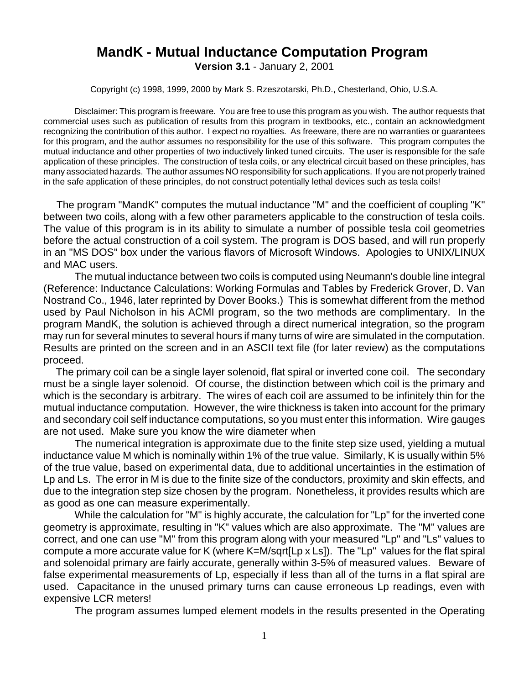## **MandK - Mutual Inductance Computation Program Version 3.1** - January 2, 2001

Copyright (c) 1998, 1999, 2000 by Mark S. Rzeszotarski, Ph.D., Chesterland, Ohio, U.S.A.

Disclaimer: This program is freeware. You are free to use this program as you wish. The author requests that commercial uses such as publication of results from this program in textbooks, etc., contain an acknowledgment recognizing the contribution of this author. I expect no royalties. As freeware, there are no warranties or guarantees for this program, and the author assumes no responsibility for the use of this software. This program computes the mutual inductance and other properties of two inductively linked tuned circuits. The user is responsible for the safe application of these principles. The construction of tesla coils, or any electrical circuit based on these principles, has many associated hazards. The author assumes NO responsibility for such applications. If you are not properly trained in the safe application of these principles, do not construct potentially lethal devices such as tesla coils!

 The program "MandK" computes the mutual inductance "M" and the coefficient of coupling "K" between two coils, along with a few other parameters applicable to the construction of tesla coils. The value of this program is in its ability to simulate a number of possible tesla coil geometries before the actual construction of a coil system. The program is DOS based, and will run properly in an "MS DOS" box under the various flavors of Microsoft Windows. Apologies to UNIX/LINUX and MAC users.

The mutual inductance between two coils is computed using Neumann's double line integral (Reference: Inductance Calculations: Working Formulas and Tables by Frederick Grover, D. Van Nostrand Co., 1946, later reprinted by Dover Books.) This is somewhat different from the method used by Paul Nicholson in his ACMI program, so the two methods are complimentary. In the program MandK, the solution is achieved through a direct numerical integration, so the program may run for several minutes to several hours if many turns of wire are simulated in the computation. Results are printed on the screen and in an ASCII text file (for later review) as the computations proceed.

 The primary coil can be a single layer solenoid, flat spiral or inverted cone coil. The secondary must be a single layer solenoid. Of course, the distinction between which coil is the primary and which is the secondary is arbitrary. The wires of each coil are assumed to be infinitely thin for the mutual inductance computation. However, the wire thickness is taken into account for the primary and secondary coil self inductance computations, so you must enter this information. Wire gauges are not used. Make sure you know the wire diameter when

The numerical integration is approximate due to the finite step size used, yielding a mutual inductance value M which is nominally within 1% of the true value. Similarly, K is usually within 5% of the true value, based on experimental data, due to additional uncertainties in the estimation of Lp and Ls. The error in M is due to the finite size of the conductors, proximity and skin effects, and due to the integration step size chosen by the program. Nonetheless, it provides results which are as good as one can measure experimentally.

While the calculation for "M" is highly accurate, the calculation for "Lp" for the inverted cone geometry is approximate, resulting in "K" values which are also approximate. The "M" values are correct, and one can use "M" from this program along with your measured "Lp" and "Ls" values to compute a more accurate value for K (where K=M/sqrt[Lp x Ls]). The "Lp" values for the flat spiral and solenoidal primary are fairly accurate, generally within 3-5% of measured values. Beware of false experimental measurements of Lp, especially if less than all of the turns in a flat spiral are used. Capacitance in the unused primary turns can cause erroneous Lp readings, even with expensive LCR meters!

The program assumes lumped element models in the results presented in the Operating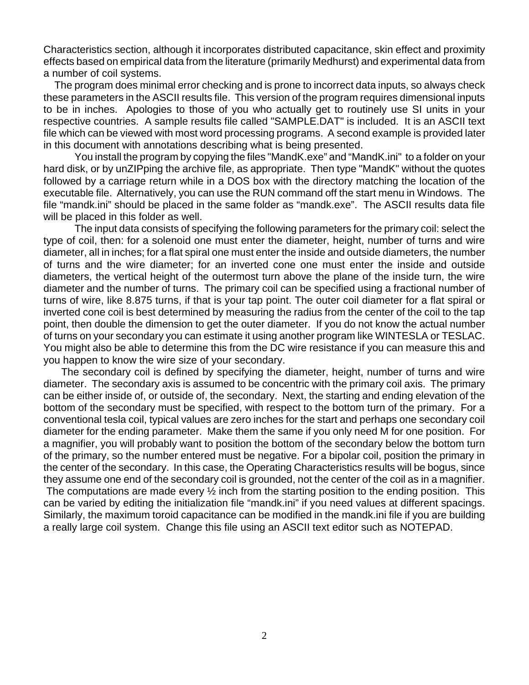Characteristics section, although it incorporates distributed capacitance, skin effect and proximity effects based on empirical data from the literature (primarily Medhurst) and experimental data from a number of coil systems.

 The program does minimal error checking and is prone to incorrect data inputs, so always check these parameters in the ASCII results file. This version of the program requires dimensional inputs to be in inches. Apologies to those of you who actually get to routinely use SI units in your respective countries. A sample results file called "SAMPLE.DAT" is included. It is an ASCII text file which can be viewed with most word processing programs. A second example is provided later in this document with annotations describing what is being presented.

You install the program by copying the files "MandK.exe" and "MandK.ini" to a folder on your hard disk, or by unZIPping the archive file, as appropriate. Then type "MandK" without the quotes followed by a carriage return while in a DOS box with the directory matching the location of the executable file. Alternatively, you can use the RUN command off the start menu in Windows. The file "mandk.ini" should be placed in the same folder as "mandk.exe". The ASCII results data file will be placed in this folder as well.

The input data consists of specifying the following parameters for the primary coil: select the type of coil, then: for a solenoid one must enter the diameter, height, number of turns and wire diameter, all in inches; for a flat spiral one must enter the inside and outside diameters, the number of turns and the wire diameter; for an inverted cone one must enter the inside and outside diameters, the vertical height of the outermost turn above the plane of the inside turn, the wire diameter and the number of turns. The primary coil can be specified using a fractional number of turns of wire, like 8.875 turns, if that is your tap point. The outer coil diameter for a flat spiral or inverted cone coil is best determined by measuring the radius from the center of the coil to the tap point, then double the dimension to get the outer diameter. If you do not know the actual number of turns on your secondary you can estimate it using another program like WINTESLA or TESLAC. You might also be able to determine this from the DC wire resistance if you can measure this and you happen to know the wire size of your secondary.

 The secondary coil is defined by specifying the diameter, height, number of turns and wire diameter. The secondary axis is assumed to be concentric with the primary coil axis. The primary can be either inside of, or outside of, the secondary. Next, the starting and ending elevation of the bottom of the secondary must be specified, with respect to the bottom turn of the primary. For a conventional tesla coil, typical values are zero inches for the start and perhaps one secondary coil diameter for the ending parameter. Make them the same if you only need M for one position. For a magnifier, you will probably want to position the bottom of the secondary below the bottom turn of the primary, so the number entered must be negative. For a bipolar coil, position the primary in the center of the secondary. In this case, the Operating Characteristics results will be bogus, since they assume one end of the secondary coil is grounded, not the center of the coil as in a magnifier.

The computations are made every  $\frac{1}{2}$  inch from the starting position to the ending position. This can be varied by editing the initialization file "mandk.ini" if you need values at different spacings. Similarly, the maximum toroid capacitance can be modified in the mandk.ini file if you are building a really large coil system. Change this file using an ASCII text editor such as NOTEPAD.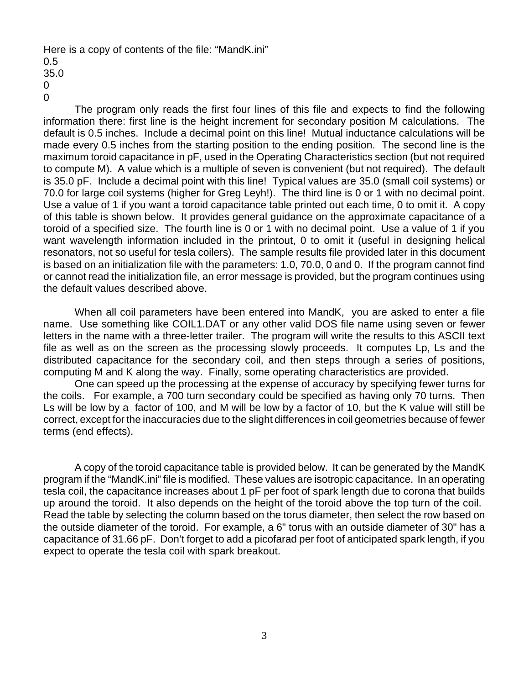Here is a copy of contents of the file: "MandK.ini"

0 0

The program only reads the first four lines of this file and expects to find the following information there: first line is the height increment for secondary position M calculations. The default is 0.5 inches. Include a decimal point on this line! Mutual inductance calculations will be made every 0.5 inches from the starting position to the ending position. The second line is the maximum toroid capacitance in pF, used in the Operating Characteristics section (but not required to compute M). A value which is a multiple of seven is convenient (but not required). The default is 35.0 pF. Include a decimal point with this line! Typical values are 35.0 (small coil systems) or 70.0 for large coil systems (higher for Greg Leyh!). The third line is 0 or 1 with no decimal point. Use a value of 1 if you want a toroid capacitance table printed out each time, 0 to omit it. A copy of this table is shown below. It provides general guidance on the approximate capacitance of a toroid of a specified size. The fourth line is 0 or 1 with no decimal point. Use a value of 1 if you want wavelength information included in the printout, 0 to omit it (useful in designing helical resonators, not so useful for tesla coilers). The sample results file provided later in this document is based on an initialization file with the parameters: 1.0, 70.0, 0 and 0. If the program cannot find or cannot read the initialization file, an error message is provided, but the program continues using the default values described above.

When all coil parameters have been entered into MandK, you are asked to enter a file name. Use something like COIL1.DAT or any other valid DOS file name using seven or fewer letters in the name with a three-letter trailer. The program will write the results to this ASCII text file as well as on the screen as the processing slowly proceeds. It computes Lp, Ls and the distributed capacitance for the secondary coil, and then steps through a series of positions, computing M and K along the way. Finally, some operating characteristics are provided.

One can speed up the processing at the expense of accuracy by specifying fewer turns for the coils. For example, a 700 turn secondary could be specified as having only 70 turns. Then Ls will be low by a factor of 100, and M will be low by a factor of 10, but the K value will still be correct, except for the inaccuracies due to the slight differences in coil geometries because of fewer terms (end effects).

A copy of the toroid capacitance table is provided below. It can be generated by the MandK program if the "MandK.ini" file is modified. These values are isotropic capacitance. In an operating tesla coil, the capacitance increases about 1 pF per foot of spark length due to corona that builds up around the toroid. It also depends on the height of the toroid above the top turn of the coil. Read the table by selecting the column based on the torus diameter, then select the row based on the outside diameter of the toroid. For example, a 6" torus with an outside diameter of 30" has a capacitance of 31.66 pF. Don't forget to add a picofarad per foot of anticipated spark length, if you expect to operate the tesla coil with spark breakout.

<sup>0.5</sup> 35.0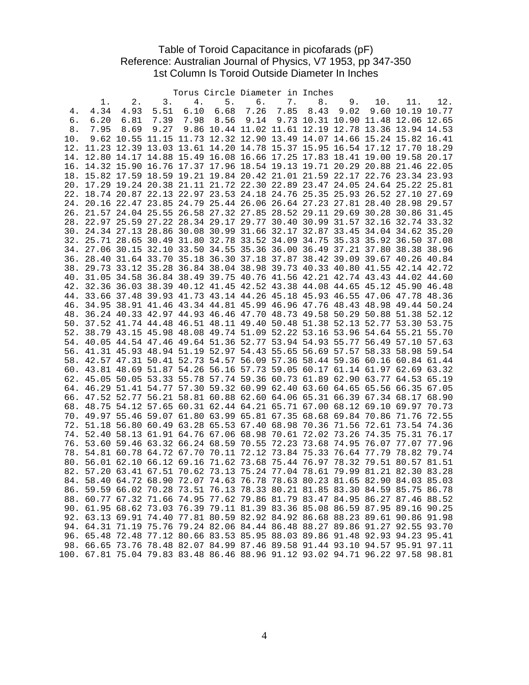## Table of Toroid Capacitance in picofarads (pF) Reference: Australian Journal of Physics, V7 1953, pp 347-350 1st Column Is Toroid Outside Diameter In Inches

|            |                                                                                                                                                            |             |      |      | Torus Circle Diameter in Inches                                         |      |      |      |      |                                    |             |       |
|------------|------------------------------------------------------------------------------------------------------------------------------------------------------------|-------------|------|------|-------------------------------------------------------------------------|------|------|------|------|------------------------------------|-------------|-------|
|            | 1.                                                                                                                                                         | $2$ .       | 3.   | 4.   | 5.                                                                      | б.   | 7.   | 8.   | 9.   | 10.                                | 11.         | 12.   |
| 4.         | 4.34                                                                                                                                                       | 4.93        | 5.51 | 6.10 | 6.68                                                                    | 7.26 | 7.85 | 8.43 | 9.02 | 9.60                               | 10.19 10.77 |       |
| б.         | 6.20                                                                                                                                                       | 6.81        | 7.39 | 7.98 | 8.56                                                                    | 9.14 |      |      |      | 9.73 10.31 10.90 11.48 12.06 12.65 |             |       |
| 8.         | 7.95                                                                                                                                                       | 8.69        | 9.27 |      | 9.86 10.44 11.02 11.61 12.19 12.78 13.36 13.94 14.53                    |      |      |      |      |                                    |             |       |
| 10.        |                                                                                                                                                            |             |      |      | 9.62 10.55 11.15 11.73 12.32 12.90 13.49 14.07 14.66 15.24 15.82 16.41  |      |      |      |      |                                    |             |       |
| 12.        |                                                                                                                                                            |             |      |      | 11.23 12.39 13.03 13.61 14.20 14.78 15.37 15.95 16.54 17.12 17.70 18.29 |      |      |      |      |                                    |             |       |
| 14.        |                                                                                                                                                            |             |      |      | 12.80 14.17 14.88 15.49 16.08 16.66 17.25 17.83 18.41 19.00 19.58 20.17 |      |      |      |      |                                    |             |       |
| 16.        |                                                                                                                                                            |             |      |      | 14.32 15.90 16.76 17.37 17.96 18.54 19.13 19.71 20.29 20.88             |      |      |      |      |                                    | 21.46 22.05 |       |
|            | 18. 15.82 17.59 18.59 19.21 19.84 20.42 21.01 21.59 22.17 22.76 23.34 23.93                                                                                |             |      |      |                                                                         |      |      |      |      |                                    |             |       |
| 20.        |                                                                                                                                                            |             |      |      | 17.29 19.24 20.38 21.11 21.72 22.30 22.89 23.47 24.05 24.64 25.22 25.81 |      |      |      |      |                                    |             |       |
|            |                                                                                                                                                            |             |      |      | 18.74 20.87 22.13 22.97 23.53 24.18 24.76 25.35 25.93 26.52 27.10 27.69 |      |      |      |      |                                    |             |       |
| 22.<br>24. |                                                                                                                                                            |             |      |      | 20.16 22.47 23.85 24.79 25.44 26.06 26.64 27.23 27.81 28.40 28.98 29.57 |      |      |      |      |                                    |             |       |
|            |                                                                                                                                                            |             |      |      |                                                                         |      |      |      |      |                                    |             |       |
| 26.        |                                                                                                                                                            |             |      |      | 21.57 24.04 25.55 26.58 27.32 27.85 28.52 29.11 29.69 30.28 30.86       |      |      |      |      |                                    |             | 31.45 |
| 28.        |                                                                                                                                                            |             |      |      | 22.97 25.59 27.22 28.34 29.17 29.77 30.40 30.99 31.57 32.16 32.74 33.32 |      |      |      |      |                                    |             |       |
| 30.        |                                                                                                                                                            |             |      |      | 24.34 27.13 28.86 30.08 30.99 31.66 32.17 32.87 33.45 34.04 34.62 35.20 |      |      |      |      |                                    |             |       |
| 32.        |                                                                                                                                                            |             |      |      | 25.71 28.65 30.49 31.80 32.78 33.52 34.09 34.75 35.33 35.92 36.50 37.08 |      |      |      |      |                                    |             |       |
| 34.        |                                                                                                                                                            | 27.06 30.15 |      |      | 32.10 33.50 34.55 35.36 36.00 36.49 37.21 37.80 38.38                   |      |      |      |      |                                    |             | 38.96 |
| 36.        |                                                                                                                                                            |             |      |      | 28.40 31.64 33.70 35.18 36.30 37.18 37.87 38.42 39.09 39.67 40.26 40.84 |      |      |      |      |                                    |             |       |
| 38.        |                                                                                                                                                            |             |      |      | 29.73 33.12 35.28 36.84 38.04 38.98 39.73 40.33 40.80 41.55 42.14 42.72 |      |      |      |      |                                    |             |       |
| 40.        |                                                                                                                                                            |             |      |      | 31.05 34.58 36.84 38.49 39.75 40.76 41.56 42.21 42.74 43.43 44.02 44.60 |      |      |      |      |                                    |             |       |
| 42.        |                                                                                                                                                            |             |      |      | 32.36 36.03 38.39 40.12 41.45 42.52 43.38 44.08 44.65 45.12 45.90 46.48 |      |      |      |      |                                    |             |       |
| 44.        |                                                                                                                                                            |             |      |      | 33.66 37.48 39.93 41.73 43.14 44.26 45.18 45.93 46.55 47.06 47.78 48.36 |      |      |      |      |                                    |             |       |
| 46.        |                                                                                                                                                            |             |      |      | 34.95 38.91 41.46 43.34 44.81 45.99 46.96 47.76 48.43 48.98 49.44 50.24 |      |      |      |      |                                    |             |       |
| 48.        |                                                                                                                                                            |             |      |      | 36.24 40.33 42.97 44.93 46.46 47.70 48.73 49.58 50.29 50.88 51.38       |      |      |      |      |                                    |             | 52.12 |
|            | 50. 37.52 41.74 44.48 46.51 48.11 49.40 50.48 51.38 52.13 52.77 53.30 53.75                                                                                |             |      |      |                                                                         |      |      |      |      |                                    |             |       |
| 52.        |                                                                                                                                                            |             |      |      | 38.79 43.15 45.98 48.08 49.74 51.09 52.22 53.16                         |      |      |      |      | 53.96 54.64 55.21 55.70            |             |       |
| 54.        |                                                                                                                                                            |             |      |      | 40.05 44.54 47.46 49.64 51.36 52.77 53.94 54.93 55.77 56.49 57.10       |      |      |      |      |                                    |             | 57.63 |
| 56.        |                                                                                                                                                            |             |      |      | 41.31 45.93 48.94 51.19 52.97 54.43 55.65 56.69 57.57 58.33 58.98       |      |      |      |      |                                    |             | 59.54 |
| 58.        |                                                                                                                                                            |             |      |      | 42.57 47.31 50.41 52.73 54.57 56.09 57.36 58.44 59.36 60.16 60.84 61.44 |      |      |      |      |                                    |             |       |
| 60.        |                                                                                                                                                            |             |      |      | 43.81 48.69 51.87 54.26 56.16 57.73 59.05 60.17 61.14 61.97 62.69 63.32 |      |      |      |      |                                    |             |       |
| 62.        |                                                                                                                                                            |             |      |      | 45.05 50.05 53.33 55.78 57.74 59.36 60.73 61.89 62.90 63.77 64.53 65.19 |      |      |      |      |                                    |             |       |
| 64.        |                                                                                                                                                            |             |      |      | 46.29 51.41 54.77 57.30 59.32 60.99 62.40 63.60 64.65 65.56 66.35 67.05 |      |      |      |      |                                    |             |       |
| 66.        |                                                                                                                                                            |             |      |      | 47.52 52.77 56.21 58.81 60.88 62.60 64.06 65.31 66.39 67.34 68.17 68.90 |      |      |      |      |                                    |             |       |
| 68.        |                                                                                                                                                            |             |      |      | 48.75 54.12 57.65 60.31 62.44 64.21 65.71 67.00 68.12 69.10 69.97 70.73 |      |      |      |      |                                    |             |       |
| 70.        |                                                                                                                                                            |             |      |      | 49.97 55.46 59.07 61.80 63.99 65.81 67.35 68.68 69.84 70.86             |      |      |      |      |                                    | 71.76       | 72.55 |
| 72.        |                                                                                                                                                            |             |      |      | 51.18 56.80 60.49 63.28 65.53 67.40 68.98 70.36 71.56 72.61             |      |      |      |      |                                    | 73.54       | 74.36 |
| 74.        |                                                                                                                                                            |             |      |      | 52.40 58.13 61.91 64.76 67.06 68.98 70.61 72.02 73.26 74.35             |      |      |      |      |                                    | 75.31 76.17 |       |
| 76.        |                                                                                                                                                            |             |      |      | 53.60 59.46 63.32 66.24 68.59 70.55 72.23 73.68 74.95 76.07 77.07       |      |      |      |      |                                    |             | 77.96 |
| 78.        |                                                                                                                                                            |             |      |      | 54.81 60.78 64.72 67.70 70.11 72.12 73.84 75.33 76.64 77.79 78.82       |      |      |      |      |                                    |             | 79.74 |
| 80.        |                                                                                                                                                            |             |      |      | 56.01 62.10 66.12 69.16 71.62 73.68 75.44 76.97 78.32 79.51 80.57 81.51 |      |      |      |      |                                    |             |       |
| 82.        |                                                                                                                                                            |             |      |      | 57.20 63.41 67.51 70.62 73.13 75.24 77.04 78.61 79.99 81.21 82.30 83.28 |      |      |      |      |                                    |             |       |
|            | 84. 58.40 64.72 68.90 72.07 74.63 76.78 78.63 80.23 81.65 82.90 84.03 85.03                                                                                |             |      |      |                                                                         |      |      |      |      |                                    |             |       |
|            |                                                                                                                                                            |             |      |      |                                                                         |      |      |      |      |                                    |             |       |
|            | 86. 59.59 66.02 70.28 73.51 76.13 78.33 80.21 81.85 83.30 84.59 85.75 86.78<br>88. 60.77 67.32 71.66 74.95 77.62 79.86 81.79 83.47 84.95 86.27 87.46 88.52 |             |      |      |                                                                         |      |      |      |      |                                    |             |       |
|            |                                                                                                                                                            |             |      |      |                                                                         |      |      |      |      |                                    |             |       |
|            | 90. 61.95 68.62 73.03 76.39 79.11 81.39 83.36 85.08 86.59 87.95 89.16 90.25                                                                                |             |      |      |                                                                         |      |      |      |      |                                    |             |       |
|            | 92. 63.13 69.91 74.40 77.81 80.59 82.92 84.92 86.68 88.23 89.61 90.86 91.98                                                                                |             |      |      |                                                                         |      |      |      |      |                                    |             |       |
|            | 94. 64.31 71.19 75.76 79.24 82.06 84.44 86.48 88.27 89.86 91.27 92.55 93.70                                                                                |             |      |      |                                                                         |      |      |      |      |                                    |             |       |
|            | 96. 65.48 72.48 77.12 80.66 83.53 85.95 88.03 89.86 91.48 92.93 94.23 95.41                                                                                |             |      |      |                                                                         |      |      |      |      |                                    |             |       |
|            | 98. 66.65 73.76 78.48 82.07 84.99 87.46 89.58 91.44 93.10 94.57 95.91 97.11                                                                                |             |      |      |                                                                         |      |      |      |      |                                    |             |       |
|            | 100. 67.81 75.04 79.83 83.48 86.46 88.96 91.12 93.02 94.71 96.22 97.58 98.81                                                                               |             |      |      |                                                                         |      |      |      |      |                                    |             |       |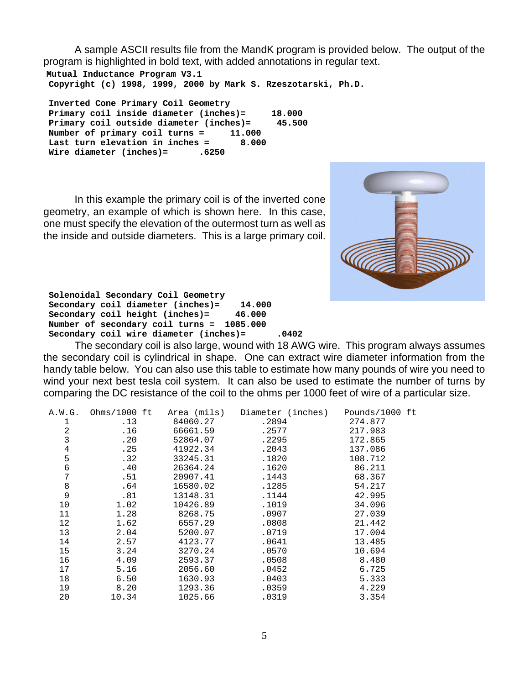A sample ASCII results file from the MandK program is provided below. The output of the program is highlighted in bold text, with added annotations in regular text.

**Mutual Inductance Program V3.1 Copyright (c) 1998, 1999, 2000 by Mark S. Rzeszotarski, Ph.D.**

 **Inverted Cone Primary Coil Geometry Primary coil inside diameter (inches)= 18.000 Primary coil outside diameter (inches)= 45.500 Number of primary coil turns = 11.000**<br>Last turn elevation in inches = 8.000 Last turn elevation in inches =  **Wire diameter (inches)= .6250**

In this example the primary coil is of the inverted cone geometry, an example of which is shown here. In this case, one must specify the elevation of the outermost turn as well as the inside and outside diameters.This is a large primary coil.



 **Solenoidal Secondary Coil Geometry Secondary coil diameter (inches)= 14.000 Secondary coil height (inches)= 46.000 Number of secondary coil turns = 1085.000 Secondary coil wire diameter (inches)= .0402**

The secondary coil is also large, wound with 18 AWG wire. This program always assumes the secondary coil is cylindrical in shape. One can extract wire diameter information from the handy table below. You can also use this table to estimate how many pounds of wire you need to wind your next best tesla coil system. It can also be used to estimate the number of turns by comparing the DC resistance of the coil to the ohms per 1000 feet of wire of a particular size.

| A.W.G. | Ohms/1000 $ft$ | Area (mils) | Diameter (inches) Pounds/1000 ft |         |
|--------|----------------|-------------|----------------------------------|---------|
| 1      | .13            | 84060.27    | .2894                            | 274.877 |
| 2      | .16            | 66661.59    | .2577                            | 217.983 |
| 3      | .20            | 52864.07    | .2295                            | 172.865 |
| 4      | .25            | 41922.34    | .2043                            | 137.086 |
| 5      | .32            | 33245.31    | .1820                            | 108.712 |
| 6      | .40            | 26364.24    | .1620                            | 86.211  |
| 7      | .51            | 20907.41    | .1443                            | 68.367  |
| 8      | .64            | 16580.02    | .1285                            | 54.217  |
| 9      | .81            | 13148.31    | .1144                            | 42.995  |
| 10     | 1.02           | 10426.89    | .1019                            | 34.096  |
| 11     | 1.28           | 8268.75     | .0907                            | 27.039  |
| 12     | 1.62           | 6557.29     | .0808                            | 21.442  |
| 13     | 2.04           | 5200.07     | .0719                            | 17.004  |
| 14     | 2.57           | 4123.77     | .0641                            | 13.485  |
| 15     | 3.24           | 3270.24     | .0570                            | 10.694  |
| 16     | 4.09           | 2593.37     | .0508                            | 8.480   |
| 17     | 5.16           | 2056.60     | .0452                            | 6.725   |
| 18     | 6.50           | 1630.93     | .0403                            | 5.333   |
| 19     | 8.20           | 1293.36     | .0359                            | 4.229   |
| 20     | 10.34          | 1025.66     | .0319                            | 3.354   |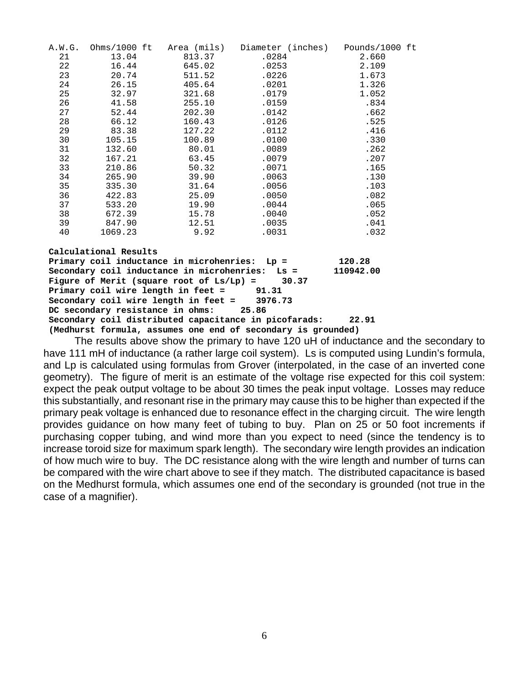|                                                              |                                            |        | A.W.G. Ohms/1000 ft Area (mils) Diameter (inches) Pounds/1000 ft |       |  |  |  |  |  |
|--------------------------------------------------------------|--------------------------------------------|--------|------------------------------------------------------------------|-------|--|--|--|--|--|
| 21                                                           | 13.04                                      | 813.37 | .0284                                                            | 2.660 |  |  |  |  |  |
| 22                                                           | 16.44                                      | 645.02 | .0253                                                            | 2.109 |  |  |  |  |  |
| 23                                                           | 20.74                                      | 511.52 | .0226                                                            | 1.673 |  |  |  |  |  |
| 24                                                           | 26.15                                      | 405.64 | .0201                                                            | 1.326 |  |  |  |  |  |
| 25                                                           | 32.97                                      | 321.68 | .0179                                                            | 1.052 |  |  |  |  |  |
| 26                                                           | 41.58                                      | 255.10 | .0159                                                            | .834  |  |  |  |  |  |
| 27                                                           | 52.44                                      | 202.30 | .0142                                                            | .662  |  |  |  |  |  |
| 28                                                           | 66.12                                      | 160.43 | .0126                                                            | .525  |  |  |  |  |  |
| 29                                                           | 83.38                                      | 127.22 | .0112                                                            | .416  |  |  |  |  |  |
| 30                                                           | 105.15                                     | 100.89 | .0100                                                            | .330  |  |  |  |  |  |
| 31                                                           | 132.60                                     | 80.01  | .0089                                                            | .262  |  |  |  |  |  |
| 32                                                           | 167.21                                     | 63.45  | .0079                                                            | .207  |  |  |  |  |  |
| 33                                                           | 210.86                                     | 50.32  | .0071                                                            | .165  |  |  |  |  |  |
| 34                                                           | 265.90                                     | 39.90  | .0063                                                            | .130  |  |  |  |  |  |
| 35                                                           | 335.30                                     | 31.64  | .0056                                                            | .103  |  |  |  |  |  |
| 36                                                           | 422.83                                     | 25.09  | .0050                                                            | .082  |  |  |  |  |  |
| 37                                                           | 533.20                                     | 19.90  | .0044                                                            | .065  |  |  |  |  |  |
| 38                                                           | 672.39                                     | 15.78  | .0040                                                            | .052  |  |  |  |  |  |
| 39                                                           | 847.90                                     | 12.51  | .0035                                                            | .041  |  |  |  |  |  |
| 40                                                           | 1069.23                                    | 9.92   | .0031                                                            | .032  |  |  |  |  |  |
| Calculational Results                                        |                                            |        |                                                                  |       |  |  |  |  |  |
| Primary coil inductance in microhenries: Lp =<br>120.28      |                                            |        |                                                                  |       |  |  |  |  |  |
| Secondary coil inductance in microhenries: Ls =<br>110942.00 |                                            |        |                                                                  |       |  |  |  |  |  |
| Figure of Merit (square root of $Ls/Lp$ ) = 30.37            |                                            |        |                                                                  |       |  |  |  |  |  |
|                                                              | Primary coil wire length in feet $=$ 91.31 |        |                                                                  |       |  |  |  |  |  |
|                                                              |                                            |        |                                                                  |       |  |  |  |  |  |

 **Secondary coil wire length in feet = 3976.73 DC secondary resistance in ohms: 25.86 Secondary coil distributed capacitance in picofarads: 22.91 (Medhurst formula, assumes one end of secondary is grounded)**

The results above show the primary to have 120 uH of inductance and the secondary to have 111 mH of inductance (a rather large coil system). Ls is computed using Lundin's formula, and Lp is calculated using formulas from Grover (interpolated, in the case of an inverted cone geometry). The figure of merit is an estimate of the voltage rise expected for this coil system: expect the peak output voltage to be about 30 times the peak input voltage. Losses may reduce this substantially, and resonant rise in the primary may cause this to be higher than expected if the primary peak voltage is enhanced due to resonance effect in the charging circuit. The wire length provides guidance on how many feet of tubing to buy. Plan on 25 or 50 foot increments if purchasing copper tubing, and wind more than you expect to need (since the tendency is to increase toroid size for maximum spark length). The secondary wire length provides an indication of how much wire to buy. The DC resistance along with the wire length and number of turns can be compared with the wire chart above to see if they match. The distributed capacitance is based on the Medhurst formula, which assumes one end of the secondary is grounded (not true in the case of a magnifier).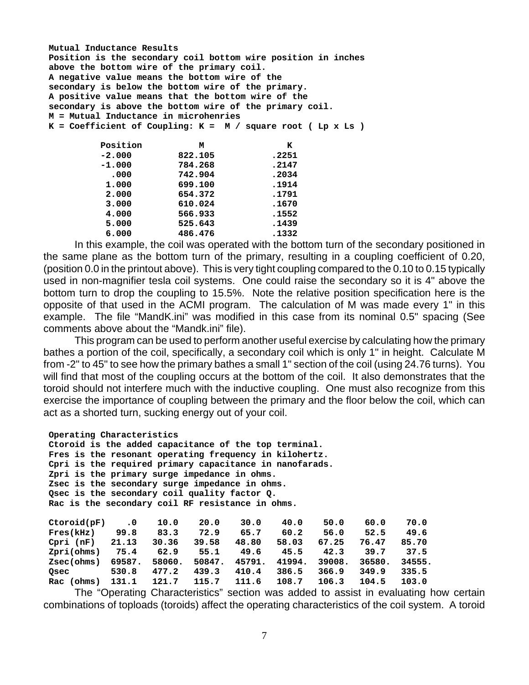**Mutual Inductance Results Position is the secondary coil bottom wire position in inches above the bottom wire of the primary coil. A negative value means the bottom wire of the secondary is below the bottom wire of the primary. A positive value means that the bottom wire of the secondary is above the bottom wire of the primary coil. M = Mutual Inductance in microhenries K = Coefficient of Coupling: K = M / square root ( Lp x Ls ) Position M K**<br>-2.000 **822.105 CONFINENT 822.105 -1.000 784.268 .2147**

| $-1.000$ | 784.268 | .2147 |
|----------|---------|-------|
| .000     | 742.904 | .2034 |
| 1,000    | 699,100 | .1914 |
| 2,000    | 654.372 | .1791 |
| 3,000    | 610.024 | .1670 |
| 4.000    | 566.933 | .1552 |
| 5.000    | 525.643 | .1439 |
| 6.000    | 486.476 | .1332 |

In this example, the coil was operated with the bottom turn of the secondary positioned in the same plane as the bottom turn of the primary, resulting in a coupling coefficient of 0.20, (position 0.0 in the printout above). This is very tight coupling compared to the 0.10 to 0.15 typically used in non-magnifier tesla coil systems. One could raise the secondary so it is 4" above the bottom turn to drop the coupling to 15.5%.Note the relative position specification here is the opposite of that used in the ACMI program. The calculation of M was made every 1" in this example. The file "MandK.ini" was modified in this case from its nominal 0.5" spacing (See comments above about the "Mandk.ini" file).

This program can be used to perform another useful exercise by calculating how the primary bathes a portion of the coil, specifically, a secondary coil which is only 1" in height. Calculate M from -2" to 45" to see how the primary bathes a small 1" section of the coil (using 24.76 turns). You will find that most of the coupling occurs at the bottom of the coil. It also demonstrates that the toroid should not interfere much with the inductive coupling. One must also recognize from this exercise the importance of coupling between the primary and the floor below the coil, which can act as a shorted turn, sucking energy out of your coil.

## **Operating Characteristics**

 **Ctoroid is the added capacitance of the top terminal. Fres is the resonant operating frequency in kilohertz. Cpri is the required primary capacitance in nanofarads. Zpri is the primary surge impedance in ohms. Zsec is the secondary surge impedance in ohms. Qsec is the secondary coil quality factor Q. Rac is the secondary coil RF resistance in ohms.**

| Ctoroid(pF)   | $\cdot$ 0 | 10.0   | 20.0   | 30.0   | 40.0   | 50.0   | 60.0   | 70.0   |
|---------------|-----------|--------|--------|--------|--------|--------|--------|--------|
| Fres(kHz)     | 99.8      | 83.3   | 72.9   | 65.7   | 60.2   | 56.0   | 52.5   | 49.6   |
| Cpri<br>(nF)  | 21.13     | 30.36  | 39.58  | 48.80  | 58.03  | 67.25  | 76.47  | 85.70  |
| Zpri(ohms)    | 75.4      | 62.9   | 55.1   | 49.6   | 45.5   | 42.3   | 39.7   | 37.5   |
| Zsec(ohms)    | 69587.    | 58060. | 50847. | 45791. | 41994. | 39008. | 36580. | 34555. |
| Osec          | 530.8     | 477.2  | 439.3  | 410.4  | 386.5  | 366.9  | 349.9  | 335.5  |
| (ohms)<br>Rac | 131.1     | 121.7  | 115.7  | 111.6  | 108.7  | 106.3  | 104.5  | 103.0  |

The "Operating Characteristics" section was added to assist in evaluating how certain combinations of toploads (toroids) affect the operating characteristics of the coil system. A toroid